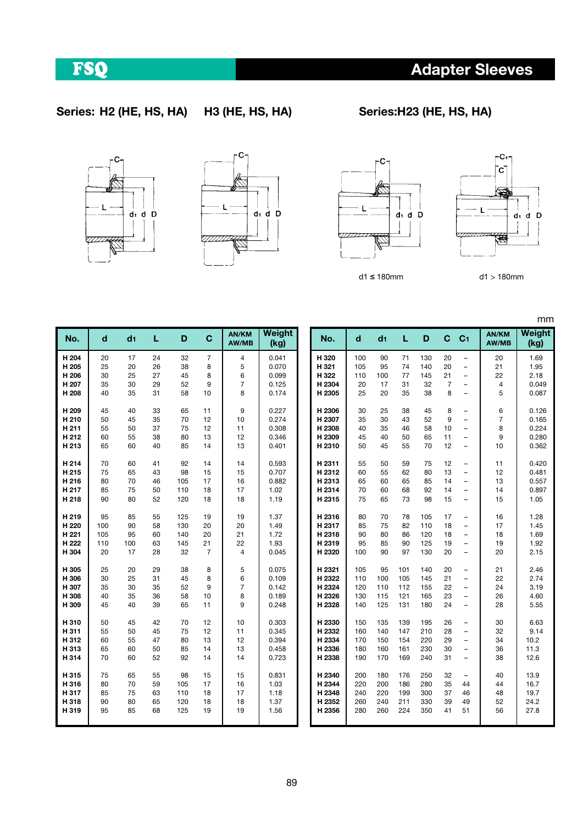89

Adapter Sleeves





۰C,

່ດ່

\$

 $\overline{d}_1$   $\overline{d}$  D

mm

**Weight** (kg)

7777777744 ∉ 777777726 d1 ≤ 180mm d1 > 180mm

|               | $\tilde{}$    |  |
|---------------|---------------|--|
|               |               |  |
|               |               |  |
|               |               |  |
|               |               |  |
| $d_1$ $d$ $D$ |               |  |
|               | $d_1$ $d$ $D$ |  |
|               |               |  |

 $\mathcal{L}^{\mathbf{C}}$ 



| d   | d <sub>1</sub>                                                                                                                                                                                                                                                                                                                                                                                                                                                                          | L                                                                           | D                                                              | $\mathbf{C}$                                                                  | AN/KM<br>AW/MB                                                                 | Weight<br>(kg)                                                                                  |                                                                                                                       | No.    | d                                                                                                                                      | d <sub>1</sub>                                             | L                                                               | D                                                                    | C                                                                        | C <sub>1</sub>                                                                 | AN/KM<br>AW/MB | Weigh<br>(kg)                                                           |
|-----|-----------------------------------------------------------------------------------------------------------------------------------------------------------------------------------------------------------------------------------------------------------------------------------------------------------------------------------------------------------------------------------------------------------------------------------------------------------------------------------------|-----------------------------------------------------------------------------|----------------------------------------------------------------|-------------------------------------------------------------------------------|--------------------------------------------------------------------------------|-------------------------------------------------------------------------------------------------|-----------------------------------------------------------------------------------------------------------------------|--------|----------------------------------------------------------------------------------------------------------------------------------------|------------------------------------------------------------|-----------------------------------------------------------------|----------------------------------------------------------------------|--------------------------------------------------------------------------|--------------------------------------------------------------------------------|----------------|-------------------------------------------------------------------------|
| 20  | 17                                                                                                                                                                                                                                                                                                                                                                                                                                                                                      | 24                                                                          | 32                                                             | $\overline{7}$                                                                | 4                                                                              | 0.041                                                                                           |                                                                                                                       | H 320  | 100                                                                                                                                    | 90                                                         | 71                                                              | 130                                                                  | 20                                                                       | $\overline{\phantom{a}}$                                                       | 20             | 1.69                                                                    |
|     | 20                                                                                                                                                                                                                                                                                                                                                                                                                                                                                      | 26                                                                          | 38                                                             | 8                                                                             |                                                                                |                                                                                                 |                                                                                                                       |        | 105                                                                                                                                    | 95                                                         | 74                                                              | 140                                                                  | 20                                                                       | $\overline{\phantom{a}}$                                                       |                | 1.95                                                                    |
|     |                                                                                                                                                                                                                                                                                                                                                                                                                                                                                         |                                                                             |                                                                |                                                                               |                                                                                |                                                                                                 |                                                                                                                       |        |                                                                                                                                        |                                                            |                                                                 |                                                                      |                                                                          | $\overline{\phantom{a}}$                                                       |                | 2.18                                                                    |
|     |                                                                                                                                                                                                                                                                                                                                                                                                                                                                                         |                                                                             |                                                                |                                                                               |                                                                                |                                                                                                 |                                                                                                                       |        |                                                                                                                                        |                                                            |                                                                 |                                                                      |                                                                          | $\overline{\phantom{m}}$                                                       | 4              | 0.049                                                                   |
|     |                                                                                                                                                                                                                                                                                                                                                                                                                                                                                         |                                                                             |                                                                |                                                                               |                                                                                |                                                                                                 |                                                                                                                       |        |                                                                                                                                        |                                                            |                                                                 |                                                                      |                                                                          | $\overline{\phantom{0}}$                                                       |                | 0.087                                                                   |
| 45  | 40                                                                                                                                                                                                                                                                                                                                                                                                                                                                                      | 33                                                                          | 65                                                             | 11                                                                            | 9                                                                              | 0.227                                                                                           |                                                                                                                       | H 2306 | 30                                                                                                                                     | 25                                                         | 38                                                              | 45                                                                   | 8                                                                        | ÷,                                                                             | 6              | 0.126                                                                   |
|     |                                                                                                                                                                                                                                                                                                                                                                                                                                                                                         |                                                                             |                                                                |                                                                               |                                                                                |                                                                                                 |                                                                                                                       |        |                                                                                                                                        |                                                            |                                                                 |                                                                      |                                                                          | $\overline{\phantom{a}}$                                                       |                | 0.165                                                                   |
|     |                                                                                                                                                                                                                                                                                                                                                                                                                                                                                         |                                                                             |                                                                |                                                                               |                                                                                |                                                                                                 |                                                                                                                       |        |                                                                                                                                        |                                                            |                                                                 |                                                                      |                                                                          | $\overline{\phantom{m}}$                                                       |                | 0.224                                                                   |
|     |                                                                                                                                                                                                                                                                                                                                                                                                                                                                                         |                                                                             |                                                                |                                                                               |                                                                                |                                                                                                 |                                                                                                                       |        |                                                                                                                                        |                                                            |                                                                 |                                                                      |                                                                          | $\overline{\phantom{a}}$                                                       |                | 0.280                                                                   |
| 65  |                                                                                                                                                                                                                                                                                                                                                                                                                                                                                         |                                                                             |                                                                |                                                                               |                                                                                |                                                                                                 |                                                                                                                       |        |                                                                                                                                        |                                                            |                                                                 |                                                                      |                                                                          | $\overline{\phantom{a}}$                                                       | 10             | 0.362                                                                   |
| 70  | 60                                                                                                                                                                                                                                                                                                                                                                                                                                                                                      | 41                                                                          | 92                                                             | 14                                                                            | 14                                                                             | 0.593                                                                                           |                                                                                                                       | H 2311 | 55                                                                                                                                     | 50                                                         | 59                                                              | 75                                                                   | 12                                                                       | $\overline{\phantom{a}}$                                                       | 11             | 0.420                                                                   |
|     | 65                                                                                                                                                                                                                                                                                                                                                                                                                                                                                      | 43                                                                          |                                                                | 15                                                                            | 15                                                                             | 0.707                                                                                           |                                                                                                                       | H 2312 | 60                                                                                                                                     | 55                                                         |                                                                 | 80                                                                   |                                                                          | $\overline{\phantom{a}}$                                                       |                | 0.481                                                                   |
| 80  |                                                                                                                                                                                                                                                                                                                                                                                                                                                                                         | 46                                                                          | 105                                                            | 17                                                                            | 16                                                                             | 0.882                                                                                           |                                                                                                                       | H 2313 | 65                                                                                                                                     | 60                                                         | 65                                                              | 85                                                                   | 14                                                                       | $\overline{\phantom{0}}$                                                       |                | 0.557                                                                   |
|     |                                                                                                                                                                                                                                                                                                                                                                                                                                                                                         |                                                                             |                                                                |                                                                               |                                                                                |                                                                                                 |                                                                                                                       |        |                                                                                                                                        |                                                            |                                                                 |                                                                      |                                                                          | $\overline{\phantom{a}}$                                                       |                | 0.897                                                                   |
|     |                                                                                                                                                                                                                                                                                                                                                                                                                                                                                         |                                                                             |                                                                |                                                                               |                                                                                |                                                                                                 |                                                                                                                       |        |                                                                                                                                        |                                                            |                                                                 |                                                                      |                                                                          | $\overline{\phantom{m}}$                                                       |                | 1.05                                                                    |
| 95  | 85                                                                                                                                                                                                                                                                                                                                                                                                                                                                                      | 55                                                                          | 125                                                            | 19                                                                            | 19                                                                             | 1.37                                                                                            |                                                                                                                       | H 2316 | 80                                                                                                                                     | 70                                                         | 78                                                              | 105                                                                  | 17                                                                       | -                                                                              | 16             | 1.28                                                                    |
| 100 | 90                                                                                                                                                                                                                                                                                                                                                                                                                                                                                      | 58                                                                          | 130                                                            | 20                                                                            | 20                                                                             |                                                                                                 |                                                                                                                       | H 2317 | 85                                                                                                                                     | 75                                                         | 82                                                              | 110                                                                  | 18                                                                       | $\overline{\phantom{a}}$                                                       | 17             | 1.45                                                                    |
| 105 | 95                                                                                                                                                                                                                                                                                                                                                                                                                                                                                      | 60                                                                          | 140                                                            |                                                                               |                                                                                |                                                                                                 |                                                                                                                       |        | 90                                                                                                                                     | 80                                                         |                                                                 |                                                                      |                                                                          | $\overline{\phantom{a}}$                                                       | 18             | 1.69                                                                    |
| 110 |                                                                                                                                                                                                                                                                                                                                                                                                                                                                                         |                                                                             |                                                                |                                                                               |                                                                                |                                                                                                 |                                                                                                                       |        | 95                                                                                                                                     |                                                            | 90                                                              |                                                                      | 19                                                                       | $\overline{\phantom{0}}$                                                       | 19             | 1.92                                                                    |
|     |                                                                                                                                                                                                                                                                                                                                                                                                                                                                                         |                                                                             |                                                                |                                                                               |                                                                                |                                                                                                 |                                                                                                                       |        |                                                                                                                                        |                                                            |                                                                 |                                                                      |                                                                          | $\qquad \qquad -$                                                              |                | 2.15                                                                    |
| 25  | 20                                                                                                                                                                                                                                                                                                                                                                                                                                                                                      | 29                                                                          | 38                                                             | 8                                                                             | 5                                                                              | 0.075                                                                                           |                                                                                                                       | H 2321 | 105                                                                                                                                    | 95                                                         | 101                                                             | 140                                                                  | 20                                                                       | $\overline{\phantom{0}}$                                                       | 21             | 2.46                                                                    |
| 30  |                                                                                                                                                                                                                                                                                                                                                                                                                                                                                         | 31                                                                          |                                                                | 8                                                                             | 6                                                                              | 0.109                                                                                           |                                                                                                                       |        | 110                                                                                                                                    | 100                                                        | 105                                                             | 145                                                                  | 21                                                                       | $\overline{\phantom{a}}$                                                       | 22             | 2.74                                                                    |
| 35  | 30                                                                                                                                                                                                                                                                                                                                                                                                                                                                                      | 35                                                                          | 52                                                             | 9                                                                             | $\overline{7}$                                                                 | 0.142                                                                                           |                                                                                                                       | H 2324 | 120                                                                                                                                    | 110                                                        | 112                                                             | 155                                                                  | 22                                                                       | $\overline{\phantom{0}}$                                                       | 24             | 3.19                                                                    |
| 40  | 35                                                                                                                                                                                                                                                                                                                                                                                                                                                                                      | 36                                                                          | 58                                                             | 10                                                                            | 8                                                                              | 0.189                                                                                           |                                                                                                                       | H 2326 | 130                                                                                                                                    | 115                                                        | 121                                                             | 165                                                                  | 23                                                                       | $\overline{\phantom{0}}$                                                       | 26             | 4.60                                                                    |
| 45  | 40                                                                                                                                                                                                                                                                                                                                                                                                                                                                                      | 39                                                                          | 65                                                             | 11                                                                            | 9                                                                              | 0.248                                                                                           |                                                                                                                       | H 2328 | 140                                                                                                                                    | 125                                                        | 131                                                             | 180                                                                  | 24                                                                       | $\overline{\phantom{a}}$                                                       | 28             | 5.55                                                                    |
| 50  | 45                                                                                                                                                                                                                                                                                                                                                                                                                                                                                      | 42                                                                          | 70                                                             | 12                                                                            | 10                                                                             | 0.303                                                                                           |                                                                                                                       | H 2330 | 150                                                                                                                                    | 135                                                        | 139                                                             | 195                                                                  | 26                                                                       | $\qquad \qquad -$                                                              | 30             | 6.63                                                                    |
| 55  | 50                                                                                                                                                                                                                                                                                                                                                                                                                                                                                      | 45                                                                          | 75                                                             | 12                                                                            | 11                                                                             | 0.345                                                                                           |                                                                                                                       | H 2332 | 160                                                                                                                                    | 140                                                        | 147                                                             | 210                                                                  | 28                                                                       | $\overline{\phantom{a}}$                                                       | 32             | 9.14                                                                    |
| 60  | 55                                                                                                                                                                                                                                                                                                                                                                                                                                                                                      | 47                                                                          | 80                                                             | 13                                                                            | 12                                                                             | 0.394                                                                                           |                                                                                                                       | H 2334 | 170                                                                                                                                    | 150                                                        | 154                                                             | 220                                                                  | 29                                                                       | $\frac{1}{2}$                                                                  | 34             | 10.2                                                                    |
| 65  | 60                                                                                                                                                                                                                                                                                                                                                                                                                                                                                      | 50                                                                          | 85                                                             | 14                                                                            | 13                                                                             | 0.458                                                                                           |                                                                                                                       | H 2336 | 180                                                                                                                                    | 160                                                        | 161                                                             | 230                                                                  | 30                                                                       | ÷.                                                                             | 36             | 11.3                                                                    |
| 70  | 60                                                                                                                                                                                                                                                                                                                                                                                                                                                                                      | 52                                                                          | 92                                                             | 14                                                                            | 14                                                                             | 0.723                                                                                           |                                                                                                                       | H 2338 | 190                                                                                                                                    | 170                                                        | 169                                                             | 240                                                                  | 31                                                                       | $\overline{\phantom{0}}$                                                       | 38             | 12.6                                                                    |
| 75  | 65                                                                                                                                                                                                                                                                                                                                                                                                                                                                                      | 55                                                                          | 98                                                             | 15                                                                            | 15                                                                             | 0.831                                                                                           |                                                                                                                       | H 2340 | 200                                                                                                                                    | 180                                                        | 176                                                             | 250                                                                  | 32                                                                       | -                                                                              | 40             | 13.9                                                                    |
| 80  | 70                                                                                                                                                                                                                                                                                                                                                                                                                                                                                      | 59                                                                          | 105                                                            | 17                                                                            | 16                                                                             | 1.03                                                                                            |                                                                                                                       | H 2344 | 220                                                                                                                                    | 200                                                        | 186                                                             | 280                                                                  | 35                                                                       | 44                                                                             | 44             | 16.7                                                                    |
| 85  | 75                                                                                                                                                                                                                                                                                                                                                                                                                                                                                      | 63                                                                          | 110                                                            | 18                                                                            | 17                                                                             | 1.18                                                                                            |                                                                                                                       | H 2348 | 240                                                                                                                                    | 220                                                        | 199                                                             | 300                                                                  | 37                                                                       | 46                                                                             | 48             | 19.7                                                                    |
| 90  | 80                                                                                                                                                                                                                                                                                                                                                                                                                                                                                      | 65                                                                          | 120                                                            | 18                                                                            | 18                                                                             | 1.37                                                                                            |                                                                                                                       | H 2352 | 260                                                                                                                                    | 240                                                        | 211                                                             | 330                                                                  | 39                                                                       | 49                                                                             | 52             | 24.2                                                                    |
| 95  | 85                                                                                                                                                                                                                                                                                                                                                                                                                                                                                      | 68                                                                          | 125                                                            | 19                                                                            | 19                                                                             | 1.56                                                                                            |                                                                                                                       | H 2356 | 280                                                                                                                                    | 260                                                        | 224                                                             | 350                                                                  | 41                                                                       | 51                                                                             | 56             | 27.8                                                                    |
|     | No.<br>H 204<br>H <sub>205</sub><br>25<br>H 206<br>30<br>H 207<br>35<br>H 208<br>40<br>H <sub>209</sub><br>H <sub>210</sub><br>50<br>H 211<br>55<br>H 212<br>60<br>H 213<br>H <sub>214</sub><br>75<br>H <sub>215</sub><br>H <sub>216</sub><br>H 217<br>85<br>H 218<br>90<br>H <sub>219</sub><br>H <sub>220</sub><br>H 221<br>H 222<br>H 304<br>20<br>H 305<br>H 306<br>H 307<br>H 308<br>H 309<br>H 310<br>H311<br>H 312<br>H 313<br>H 314<br>H 315<br>H 316<br>H 317<br>H 318<br>H 319 | 25<br>30<br>35<br>45<br>50<br>55<br>60<br>70<br>75<br>80<br>100<br>17<br>25 | 27<br>29<br>31<br>35<br>37<br>38<br>40<br>50<br>52<br>63<br>28 | 45<br>52<br>58<br>70<br>75<br>80<br>85<br>98<br>110<br>120<br>145<br>32<br>45 | 8<br>9<br>10<br>12<br>12<br>13<br>14<br>18<br>18<br>20<br>21<br>$\overline{7}$ | 5<br>6<br>$\overline{7}$<br>8<br>10<br>11<br>12<br>13<br>17<br>18<br>21<br>22<br>$\overline{4}$ | 0.070<br>0.099<br>0.125<br>0.174<br>0.274<br>0.308<br>0.346<br>0.401<br>1.02<br>1.19<br>1.49<br>1.72<br>1.93<br>0.045 |        | H 321<br>H 322<br>H 2304<br>H 2305<br>H 2307<br>H 2308<br>H 2309<br>H 2310<br>H 2314<br>H 2315<br>H 2318<br>H 2319<br>H 2320<br>H 2322 | 110<br>20<br>25<br>35<br>40<br>45<br>50<br>70<br>75<br>100 | 100<br>17<br>20<br>30<br>35<br>40<br>45<br>60<br>65<br>85<br>90 | 77<br>31<br>35<br>43<br>46<br>50<br>55<br>62<br>68<br>73<br>86<br>97 | 145<br>32<br>38<br>52<br>58<br>65<br>70<br>92<br>98<br>120<br>125<br>130 | 21<br>$\overline{7}$<br>8<br>9<br>10<br>11<br>12<br>13<br>14<br>15<br>18<br>20 |                | 21<br>22<br>5<br>$\overline{7}$<br>8<br>9<br>12<br>13<br>14<br>15<br>20 |

## FSQ

Series: H2 (HE, HS, HA) H3 (HE, HS, HA) Series:H23 (HE, HS, HA)